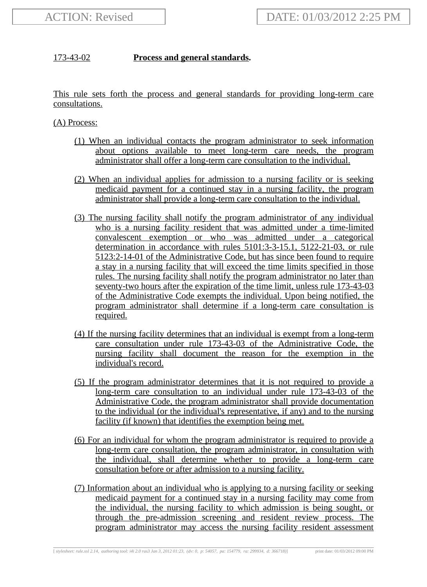## 173-43-02 **Process and general standards.**

This rule sets forth the process and general standards for providing long-term care consultations.

(A) Process:

- (1) When an individual contacts the program administrator to seek information about options available to meet long-term care needs, the program administrator shall offer a long-term care consultation to the individual.
- (2) When an individual applies for admission to a nursing facility or is seeking medicaid payment for a continued stay in a nursing facility, the program administrator shall provide a long-term care consultation to the individual.
- (3) The nursing facility shall notify the program administrator of any individual who is a nursing facility resident that was admitted under a time-limited convalescent exemption or who was admitted under a categorical determination in accordance with rules 5101:3-3-15.1, 5122-21-03, or rule 5123:2-14-01 of the Administrative Code, but has since been found to require a stay in a nursing facility that will exceed the time limits specified in those rules. The nursing facility shall notify the program administrator no later than seventy-two hours after the expiration of the time limit, unless rule 173-43-03 of the Administrative Code exempts the individual. Upon being notified, the program administrator shall determine if a long-term care consultation is required.
- (4) If the nursing facility determines that an individual is exempt from a long-term care consultation under rule 173-43-03 of the Administrative Code, the nursing facility shall document the reason for the exemption in the individual's record.
- (5) If the program administrator determines that it is not required to provide a long-term care consultation to an individual under rule 173-43-03 of the Administrative Code, the program administrator shall provide documentation to the individual (or the individual's representative, if any) and to the nursing facility (if known) that identifies the exemption being met.
- (6) For an individual for whom the program administrator is required to provide a long-term care consultation, the program administrator, in consultation with the individual, shall determine whether to provide a long-term care consultation before or after admission to a nursing facility.
- (7) Information about an individual who is applying to a nursing facility or seeking medicaid payment for a continued stay in a nursing facility may come from the individual, the nursing facility to which admission is being sought, or through the pre-admission screening and resident review process. The program administrator may access the nursing facility resident assessment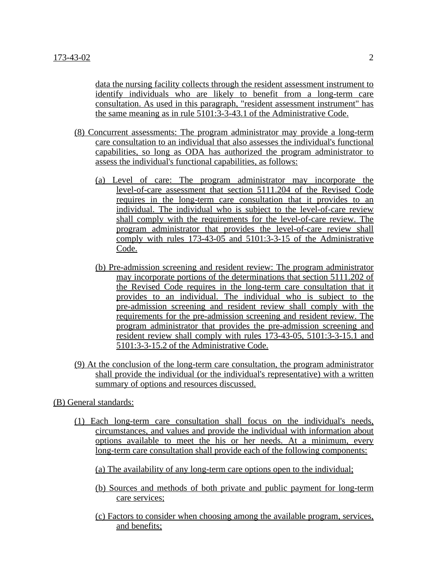data the nursing facility collects through the resident assessment instrument to identify individuals who are likely to benefit from a long-term care consultation. As used in this paragraph, "resident assessment instrument" has the same meaning as in rule 5101:3-3-43.1 of the Administrative Code.

- (8) Concurrent assessments: The program administrator may provide a long-term care consultation to an individual that also assesses the individual's functional capabilities, so long as ODA has authorized the program administrator to assess the individual's functional capabilities, as follows:
	- (a) Level of care: The program administrator may incorporate the level-of-care assessment that section 5111.204 of the Revised Code requires in the long-term care consultation that it provides to an individual. The individual who is subject to the level-of-care review shall comply with the requirements for the level-of-care review. The program administrator that provides the level-of-care review shall comply with rules 173-43-05 and 5101:3-3-15 of the Administrative Code.
	- (b) Pre-admission screening and resident review: The program administrator may incorporate portions of the determinations that section 5111.202 of the Revised Code requires in the long-term care consultation that it provides to an individual. The individual who is subject to the pre-admission screening and resident review shall comply with the requirements for the pre-admission screening and resident review. The program administrator that provides the pre-admission screening and resident review shall comply with rules 173-43-05, 5101:3-3-15.1 and 5101:3-3-15.2 of the Administrative Code.
- (9) At the conclusion of the long-term care consultation, the program administrator shall provide the individual (or the individual's representative) with a written summary of options and resources discussed.
- (B) General standards:
	- (1) Each long-term care consultation shall focus on the individual's needs, circumstances, and values and provide the individual with information about options available to meet the his or her needs. At a minimum, every long-term care consultation shall provide each of the following components:
		- (a) The availability of any long-term care options open to the individual;
		- (b) Sources and methods of both private and public payment for long-term care services;
		- (c) Factors to consider when choosing among the available program, services, and benefits;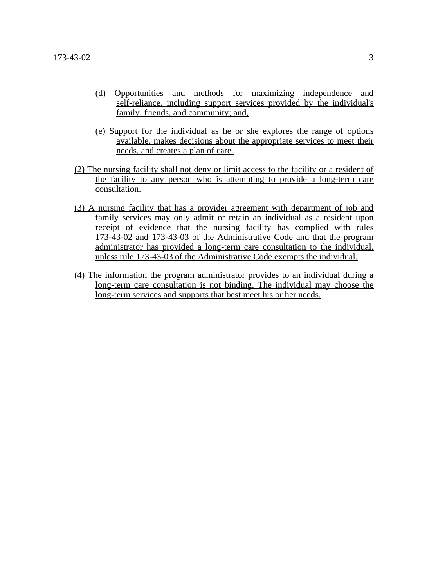- (d) Opportunities and methods for maximizing independence and self-reliance, including support services provided by the individual's family, friends, and community; and,
- (e) Support for the individual as he or she explores the range of options available, makes decisions about the appropriate services to meet their needs, and creates a plan of care.
- (2) The nursing facility shall not deny or limit access to the facility or a resident of the facility to any person who is attempting to provide a long-term care consultation.
- (3) A nursing facility that has a provider agreement with department of job and family services may only admit or retain an individual as a resident upon receipt of evidence that the nursing facility has complied with rules 173-43-02 and 173-43-03 of the Administrative Code and that the program administrator has provided a long-term care consultation to the individual, unless rule 173-43-03 of the Administrative Code exempts the individual.
- (4) The information the program administrator provides to an individual during a long-term care consultation is not binding. The individual may choose the long-term services and supports that best meet his or her needs.